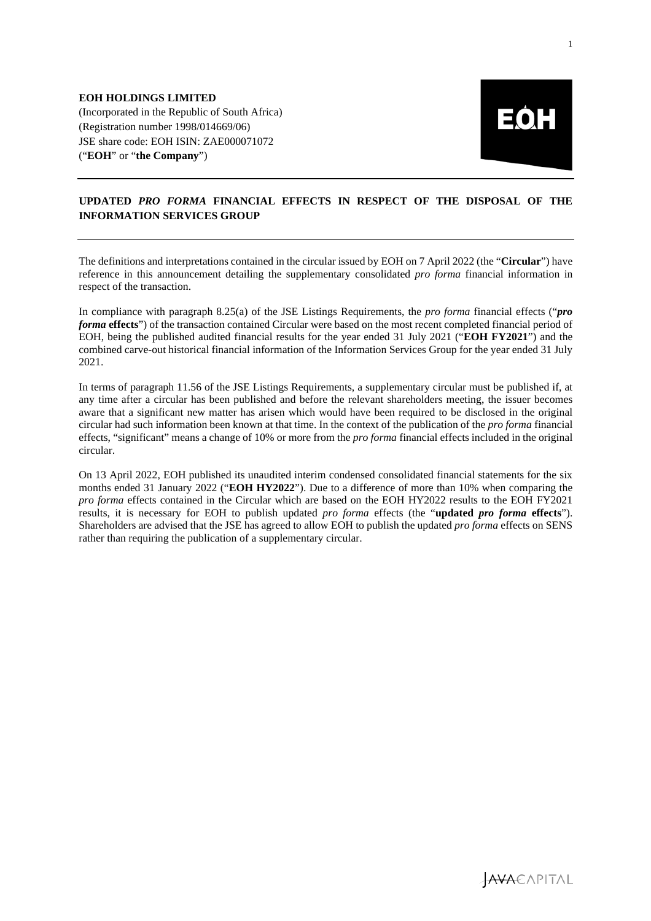

## **UPDATED** *PRO FORMA* **FINANCIAL EFFECTS IN RESPECT OF THE DISPOSAL OF THE INFORMATION SERVICES GROUP**

The definitions and interpretations contained in the circular issued by EOH on 7 April 2022 (the "**Circular**") have reference in this announcement detailing the supplementary consolidated *pro forma* financial information in respect of the transaction.

In compliance with paragraph 8.25(a) of the JSE Listings Requirements, the *pro forma* financial effects ("*pro forma* **effects**") of the transaction contained Circular were based on the most recent completed financial period of EOH, being the published audited financial results for the year ended 31 July 2021 ("**EOH FY2021**") and the combined carve-out historical financial information of the Information Services Group for the year ended 31 July 2021.

In terms of paragraph 11.56 of the JSE Listings Requirements, a supplementary circular must be published if, at any time after a circular has been published and before the relevant shareholders meeting, the issuer becomes aware that a significant new matter has arisen which would have been required to be disclosed in the original circular had such information been known at that time. In the context of the publication of the *pro forma* financial effects, "significant" means a change of 10% or more from the *pro forma* financial effects included in the original circular.

On 13 April 2022, EOH published its unaudited interim condensed consolidated financial statements for the six months ended 31 January 2022 ("**EOH HY2022**"). Due to a difference of more than 10% when comparing the *pro forma* effects contained in the Circular which are based on the EOH HY2022 results to the EOH FY2021 results, it is necessary for EOH to publish updated *pro forma* effects (the "**updated** *pro forma* **effects**"). Shareholders are advised that the JSE has agreed to allow EOH to publish the updated *pro forma* effects on SENS rather than requiring the publication of a supplementary circular.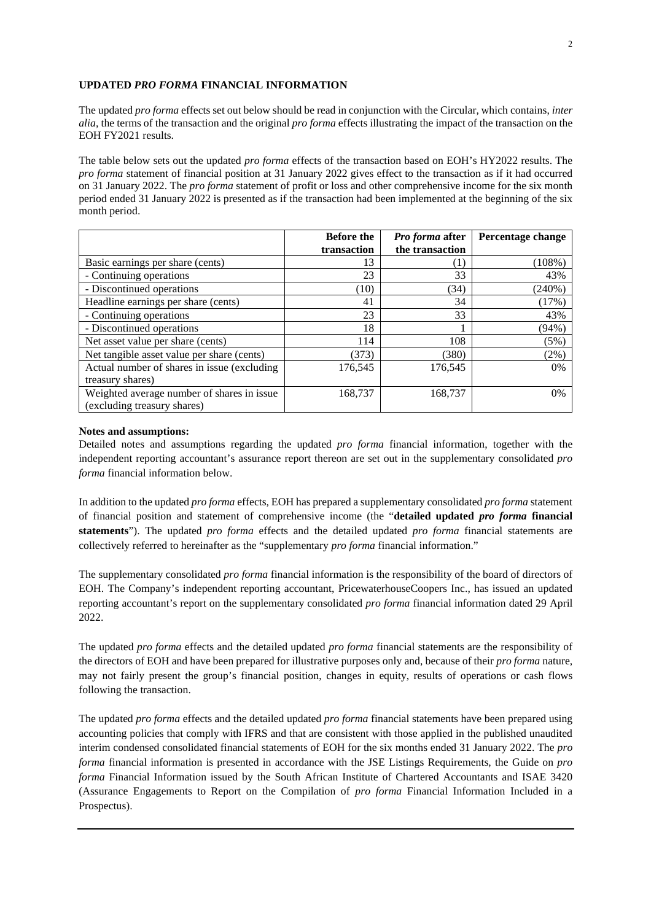### **UPDATED** *PRO FORMA* **FINANCIAL INFORMATION**

The updated *pro forma* effects set out below should be read in conjunction with the Circular, which contains, *inter alia*, the terms of the transaction and the original *pro forma* effects illustrating the impact of the transaction on the EOH FY2021 results.

The table below sets out the updated *pro forma* effects of the transaction based on EOH's HY2022 results. The *pro forma* statement of financial position at 31 January 2022 gives effect to the transaction as if it had occurred on 31 January 2022. The *pro forma* statement of profit or loss and other comprehensive income for the six month period ended 31 January 2022 is presented as if the transaction had been implemented at the beginning of the six month period.

|                                             | <b>Before the</b> | Pro forma after | Percentage change |
|---------------------------------------------|-------------------|-----------------|-------------------|
|                                             | transaction       | the transaction |                   |
| Basic earnings per share (cents)            | 13                | (1)             | (108%)            |
| - Continuing operations                     | 23                | 33              | 43%               |
| - Discontinued operations                   | (10)              | (34)            | (240%)            |
| Headline earnings per share (cents)         | 41                | 34              | (17%)             |
| - Continuing operations                     | 23                | 33              | 43%               |
| - Discontinued operations                   | 18                |                 | (94%)             |
| Net asset value per share (cents)           | 114               | 108             | (5%)              |
| Net tangible asset value per share (cents)  | (373)             | (380)           | (2%)              |
| Actual number of shares in issue (excluding | 176,545           | 176,545         | $0\%$             |
| treasury shares)                            |                   |                 |                   |
| Weighted average number of shares in issue  | 168,737           | 168,737         | 0%                |
| (excluding treasury shares)                 |                   |                 |                   |

#### **Notes and assumptions:**

Detailed notes and assumptions regarding the updated *pro forma* financial information, together with the independent reporting accountant's assurance report thereon are set out in the supplementary consolidated *pro forma* financial information below.

In addition to the updated *pro forma* effects, EOH has prepared a supplementary consolidated *pro forma* statement of financial position and statement of comprehensive income (the "**detailed updated** *pro forma* **financial statements**"). The updated *pro forma* effects and the detailed updated *pro forma* financial statements are collectively referred to hereinafter as the "supplementary *pro forma* financial information."

The supplementary consolidated *pro forma* financial information is the responsibility of the board of directors of EOH. The Company's independent reporting accountant, PricewaterhouseCoopers Inc., has issued an updated reporting accountant's report on the supplementary consolidated *pro forma* financial information dated 29 April 2022.

The updated *pro forma* effects and the detailed updated *pro forma* financial statements are the responsibility of the directors of EOH and have been prepared for illustrative purposes only and, because of their *pro forma* nature, may not fairly present the group's financial position, changes in equity, results of operations or cash flows following the transaction.

The updated *pro forma* effects and the detailed updated *pro forma* financial statements have been prepared using accounting policies that comply with IFRS and that are consistent with those applied in the published unaudited interim condensed consolidated financial statements of EOH for the six months ended 31 January 2022. The *pro forma* financial information is presented in accordance with the JSE Listings Requirements, the Guide on *pro forma* Financial Information issued by the South African Institute of Chartered Accountants and ISAE 3420 (Assurance Engagements to Report on the Compilation of *pro forma* Financial Information Included in a Prospectus).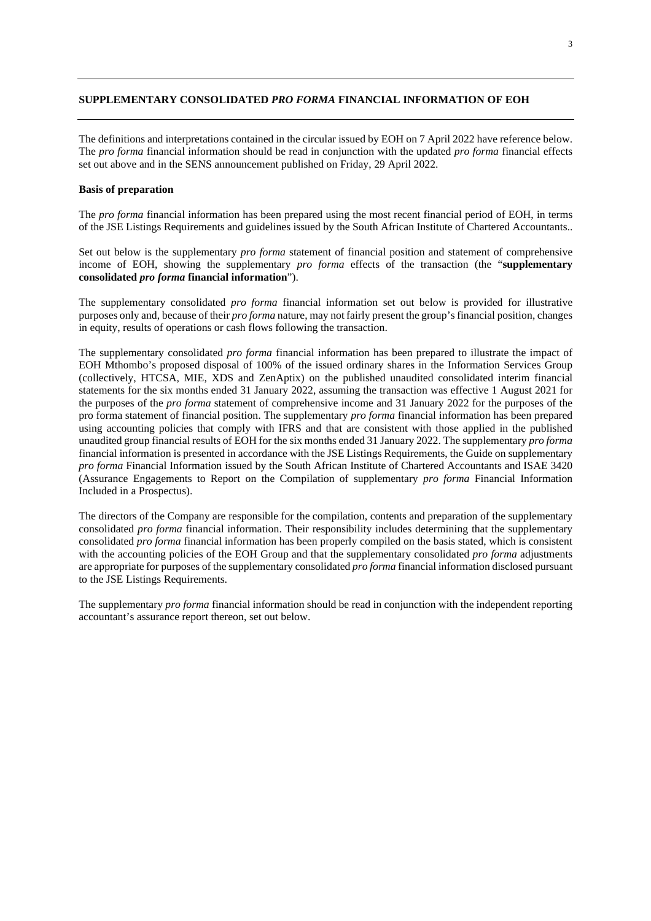## **SUPPLEMENTARY CONSOLIDATED** *PRO FORMA* **FINANCIAL INFORMATION OF EOH**

The definitions and interpretations contained in the circular issued by EOH on 7 April 2022 have reference below. The *pro forma* financial information should be read in conjunction with the updated *pro forma* financial effects set out above and in the SENS announcement published on Friday, 29 April 2022.

### **Basis of preparation**

The *pro forma* financial information has been prepared using the most recent financial period of EOH, in terms of the JSE Listings Requirements and guidelines issued by the South African Institute of Chartered Accountants..

Set out below is the supplementary *pro forma* statement of financial position and statement of comprehensive income of EOH, showing the supplementary *pro forma* effects of the transaction (the "**supplementary consolidated** *pro forma* **financial information**").

The supplementary consolidated *pro forma* financial information set out below is provided for illustrative purposes only and, because of their *pro forma* nature, may not fairly present the group's financial position, changes in equity, results of operations or cash flows following the transaction.

The supplementary consolidated *pro forma* financial information has been prepared to illustrate the impact of EOH Mthombo's proposed disposal of 100% of the issued ordinary shares in the Information Services Group (collectively, HTCSA, MIE, XDS and ZenAptix) on the published unaudited consolidated interim financial statements for the six months ended 31 January 2022, assuming the transaction was effective 1 August 2021 for the purposes of the *pro forma* statement of comprehensive income and 31 January 2022 for the purposes of the pro forma statement of financial position. The supplementary *pro forma* financial information has been prepared using accounting policies that comply with IFRS and that are consistent with those applied in the published unaudited group financial results of EOH for the six months ended 31 January 2022. The supplementary *pro forma* financial information is presented in accordance with the JSE Listings Requirements, the Guide on supplementary *pro forma* Financial Information issued by the South African Institute of Chartered Accountants and ISAE 3420 (Assurance Engagements to Report on the Compilation of supplementary *pro forma* Financial Information Included in a Prospectus).

The directors of the Company are responsible for the compilation, contents and preparation of the supplementary consolidated *pro forma* financial information. Their responsibility includes determining that the supplementary consolidated *pro forma* financial information has been properly compiled on the basis stated, which is consistent with the accounting policies of the EOH Group and that the supplementary consolidated *pro forma* adjustments are appropriate for purposes of the supplementary consolidated *pro forma* financial information disclosed pursuant to the JSE Listings Requirements.

The supplementary *pro forma* financial information should be read in conjunction with the independent reporting accountant's assurance report thereon, set out below.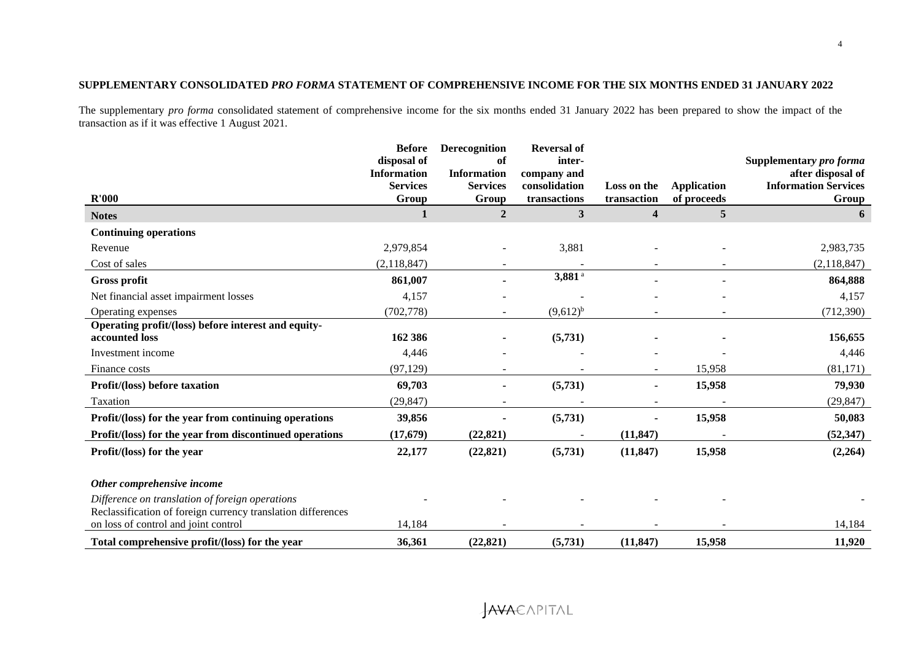## **SUPPLEMENTARY CONSOLIDATED** *PRO FORMA* **STATEMENT OF COMPREHENSIVE INCOME FOR THE SIX MONTHS ENDED 31 JANUARY 2022**

The supplementary *pro forma* consolidated statement of comprehensive income for the six months ended 31 January 2022 has been prepared to show the impact of the transaction as if it was effective 1 August 2021.

|                                                                                                                 | <b>Before</b>      | <b>Derecognition</b>     | <b>Reversal of</b>   |                          |                    |                             |
|-----------------------------------------------------------------------------------------------------------------|--------------------|--------------------------|----------------------|--------------------------|--------------------|-----------------------------|
|                                                                                                                 | disposal of        | оf                       | inter-               |                          |                    | Supplementary pro forma     |
|                                                                                                                 | <b>Information</b> | <b>Information</b>       | company and          |                          |                    | after disposal of           |
|                                                                                                                 | <b>Services</b>    | <b>Services</b>          | consolidation        | Loss on the              | <b>Application</b> | <b>Information Services</b> |
| R'000                                                                                                           | Group              | Group                    | transactions         | transaction              | of proceeds        | Group                       |
| <b>Notes</b>                                                                                                    | 1                  | $\overline{2}$           | 3                    | $\overline{\mathbf{4}}$  | 5                  | 6                           |
| <b>Continuing operations</b>                                                                                    |                    |                          |                      |                          |                    |                             |
| Revenue                                                                                                         | 2,979,854          |                          | 3,881                |                          |                    | 2,983,735                   |
| Cost of sales                                                                                                   | (2,118,847)        | $\overline{\phantom{a}}$ |                      | $\overline{\phantom{a}}$ |                    | (2,118,847)                 |
| <b>Gross profit</b>                                                                                             | 861,007            |                          | $3,881$ <sup>a</sup> |                          |                    | 864,888                     |
| Net financial asset impairment losses                                                                           | 4,157              |                          |                      |                          |                    | 4,157                       |
| Operating expenses                                                                                              | (702, 778)         |                          | $(9,612)^{b}$        |                          |                    | (712,390)                   |
| Operating profit/(loss) before interest and equity-                                                             |                    |                          |                      |                          |                    |                             |
| accounted loss                                                                                                  | 162 386            |                          | (5,731)              |                          |                    | 156,655                     |
| Investment income                                                                                               | 4,446              |                          |                      |                          |                    | 4,446                       |
| Finance costs                                                                                                   | (97, 129)          |                          |                      |                          | 15,958             | (81, 171)                   |
| Profit/(loss) before taxation                                                                                   | 69,703             |                          | (5,731)              |                          | 15,958             | 79,930                      |
| Taxation                                                                                                        | (29, 847)          |                          |                      |                          |                    | (29, 847)                   |
| Profit/(loss) for the year from continuing operations                                                           | 39,856             |                          | (5,731)              |                          | 15,958             | 50,083                      |
| Profit/(loss) for the year from discontinued operations                                                         | (17, 679)          | (22, 821)                |                      | (11, 847)                |                    | (52, 347)                   |
| Profit/(loss) for the year                                                                                      | 22,177             | (22, 821)                | (5,731)              | (11, 847)                | 15,958             | (2,264)                     |
| Other comprehensive income                                                                                      |                    |                          |                      |                          |                    |                             |
| Difference on translation of foreign operations<br>Reclassification of foreign currency translation differences |                    |                          |                      |                          |                    |                             |
| on loss of control and joint control                                                                            | 14,184             |                          |                      |                          |                    | 14,184                      |
| Total comprehensive profit/(loss) for the year                                                                  | 36,361             | (22, 821)                | (5,731)              | (11, 847)                | 15,958             | 11,920                      |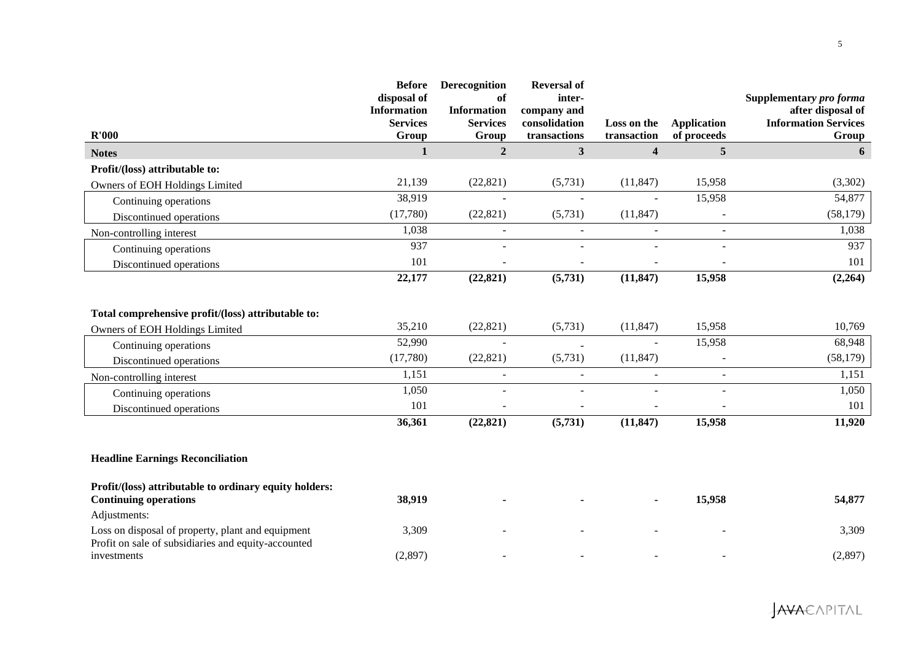| R'000                                                                                                    | <b>Before</b><br>disposal of<br><b>Information</b><br><b>Services</b><br>Group | Derecognition<br>of<br><b>Information</b><br><b>Services</b><br>Group | <b>Reversal of</b><br>inter-<br>company and<br>consolidation<br>transactions | Loss on the<br>transaction | <b>Application</b><br>of proceeds | Supplementary pro forma<br>after disposal of<br><b>Information Services</b><br>Group |
|----------------------------------------------------------------------------------------------------------|--------------------------------------------------------------------------------|-----------------------------------------------------------------------|------------------------------------------------------------------------------|----------------------------|-----------------------------------|--------------------------------------------------------------------------------------|
| <b>Notes</b>                                                                                             | $\mathbf{1}$                                                                   | $\overline{2}$                                                        | $\mathbf{3}$                                                                 | $\overline{\mathbf{4}}$    | 5 <sup>5</sup>                    | 6                                                                                    |
| Profit/(loss) attributable to:                                                                           |                                                                                |                                                                       |                                                                              |                            |                                   |                                                                                      |
| Owners of EOH Holdings Limited                                                                           | 21,139                                                                         | (22, 821)                                                             | (5,731)                                                                      | (11, 847)                  | 15,958                            | (3,302)                                                                              |
| Continuing operations                                                                                    | 38,919                                                                         | $\overline{\phantom{a}}$                                              | $\overline{\phantom{a}}$                                                     | $\sim$                     | 15,958                            | 54,877                                                                               |
| Discontinued operations                                                                                  | (17,780)                                                                       | (22, 821)                                                             | (5,731)                                                                      | (11, 847)                  |                                   | (58, 179)                                                                            |
| Non-controlling interest                                                                                 | 1,038                                                                          | $\mathbf{r}$                                                          | $\sim$                                                                       | $\sim$                     | $\sim$                            | 1,038                                                                                |
| Continuing operations                                                                                    | 937                                                                            | $\overline{a}$                                                        | ÷.                                                                           | $\overline{a}$             |                                   | 937                                                                                  |
| Discontinued operations                                                                                  | 101                                                                            | $\overline{a}$                                                        | $\overline{\phantom{a}}$                                                     | $\overline{a}$             | $\sim$                            | 101                                                                                  |
|                                                                                                          | 22,177                                                                         | (22, 821)                                                             | (5,731)                                                                      | (11, 847)                  | 15,958                            | (2,264)                                                                              |
| Total comprehensive profit/(loss) attributable to:                                                       |                                                                                |                                                                       |                                                                              |                            |                                   |                                                                                      |
| Owners of EOH Holdings Limited                                                                           | 35,210                                                                         | (22, 821)                                                             | (5,731)                                                                      | (11, 847)                  | 15,958                            | 10,769                                                                               |
| Continuing operations                                                                                    | 52,990                                                                         | $\blacksquare$                                                        |                                                                              | $\sim$                     | 15,958                            | 68,948                                                                               |
| Discontinued operations                                                                                  | (17,780)                                                                       | (22, 821)                                                             | (5,731)                                                                      | (11, 847)                  |                                   | (58,179)                                                                             |
| Non-controlling interest                                                                                 | 1,151                                                                          | $\equiv$                                                              | ÷.                                                                           | $\sim$                     | $\sim$                            | 1,151                                                                                |
| Continuing operations                                                                                    | 1,050                                                                          | $\overline{a}$                                                        | $\sim$                                                                       |                            | $\sim$                            | 1,050                                                                                |
| Discontinued operations                                                                                  | 101                                                                            | $\overline{\phantom{a}}$                                              |                                                                              | $\overline{a}$             | $\overline{\phantom{a}}$          | 101                                                                                  |
|                                                                                                          | 36,361                                                                         | (22, 821)                                                             | (5,731)                                                                      | (11, 847)                  | 15,958                            | 11,920                                                                               |
| <b>Headline Earnings Reconciliation</b>                                                                  |                                                                                |                                                                       |                                                                              |                            |                                   |                                                                                      |
| Profit/(loss) attributable to ordinary equity holders:<br><b>Continuing operations</b>                   | 38,919                                                                         |                                                                       |                                                                              |                            | 15,958                            | 54,877                                                                               |
| Adjustments:                                                                                             |                                                                                |                                                                       |                                                                              |                            |                                   |                                                                                      |
| Loss on disposal of property, plant and equipment<br>Profit on sale of subsidiaries and equity-accounted | 3,309                                                                          |                                                                       |                                                                              |                            |                                   | 3,309                                                                                |
| investments                                                                                              | (2,897)                                                                        |                                                                       |                                                                              |                            |                                   | (2,897)                                                                              |

**JAVA**EAPITAL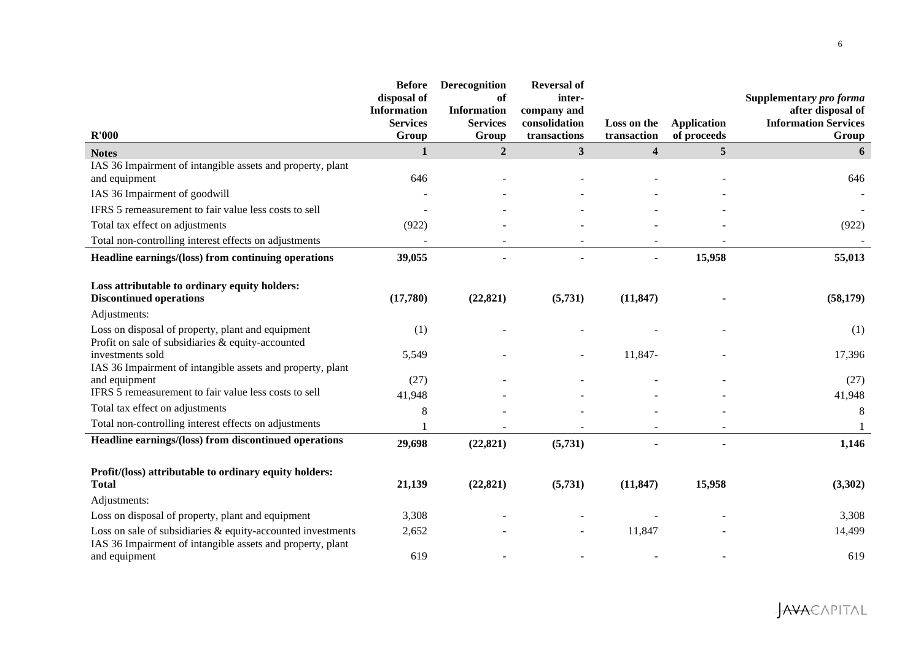| R'000                                                                                                                       | <b>Before</b><br>disposal of<br><b>Information</b><br><b>Services</b><br>Group | Derecognition<br>of<br><b>Information</b><br><b>Services</b><br>Group | <b>Reversal of</b><br>inter-<br>company and<br>consolidation<br>transactions | Loss on the<br>transaction | <b>Application</b><br>of proceeds | Supplementary pro forma<br>after disposal of<br><b>Information Services</b><br>Group |
|-----------------------------------------------------------------------------------------------------------------------------|--------------------------------------------------------------------------------|-----------------------------------------------------------------------|------------------------------------------------------------------------------|----------------------------|-----------------------------------|--------------------------------------------------------------------------------------|
| <b>Notes</b>                                                                                                                | $\mathbf{1}$                                                                   | $\overline{2}$                                                        | $\mathbf{3}$                                                                 | $\overline{\mathbf{4}}$    | 5 <sup>5</sup>                    | 6                                                                                    |
| IAS 36 Impairment of intangible assets and property, plant<br>and equipment                                                 | 646                                                                            |                                                                       |                                                                              |                            |                                   | 646                                                                                  |
| IAS 36 Impairment of goodwill                                                                                               |                                                                                |                                                                       |                                                                              |                            |                                   |                                                                                      |
| IFRS 5 remeasurement to fair value less costs to sell                                                                       |                                                                                |                                                                       |                                                                              |                            |                                   |                                                                                      |
| Total tax effect on adjustments                                                                                             | (922)                                                                          |                                                                       |                                                                              |                            |                                   | (922)                                                                                |
| Total non-controlling interest effects on adjustments                                                                       |                                                                                |                                                                       |                                                                              |                            |                                   |                                                                                      |
| Headline earnings/(loss) from continuing operations                                                                         | 39,055                                                                         |                                                                       |                                                                              |                            | 15,958                            | 55,013                                                                               |
| Loss attributable to ordinary equity holders:<br><b>Discontinued operations</b>                                             | (17,780)                                                                       | (22, 821)                                                             | (5, 731)                                                                     | (11, 847)                  |                                   | (58, 179)                                                                            |
| Adjustments:                                                                                                                |                                                                                |                                                                       |                                                                              |                            |                                   |                                                                                      |
| Loss on disposal of property, plant and equipment<br>Profit on sale of subsidiaries & equity-accounted                      | (1)                                                                            |                                                                       |                                                                              |                            |                                   | (1)                                                                                  |
| investments sold                                                                                                            | 5,549                                                                          |                                                                       |                                                                              | 11,847-                    |                                   | 17,396                                                                               |
| IAS 36 Impairment of intangible assets and property, plant<br>and equipment                                                 | (27)                                                                           |                                                                       |                                                                              |                            |                                   | (27)                                                                                 |
| IFRS 5 remeasurement to fair value less costs to sell                                                                       | 41,948                                                                         |                                                                       |                                                                              |                            |                                   | 41,948                                                                               |
| Total tax effect on adjustments                                                                                             | 8                                                                              |                                                                       |                                                                              |                            |                                   | 8                                                                                    |
| Total non-controlling interest effects on adjustments                                                                       |                                                                                |                                                                       |                                                                              |                            |                                   |                                                                                      |
| Headline earnings/(loss) from discontinued operations                                                                       | 29,698                                                                         | (22, 821)                                                             | (5,731)                                                                      |                            | $\blacksquare$                    | 1,146                                                                                |
| Profit/(loss) attributable to ordinary equity holders:<br><b>Total</b>                                                      | 21,139                                                                         | (22, 821)                                                             | (5,731)                                                                      | (11, 847)                  | 15,958                            | (3,302)                                                                              |
| Adjustments:                                                                                                                |                                                                                |                                                                       |                                                                              |                            |                                   |                                                                                      |
| Loss on disposal of property, plant and equipment                                                                           | 3,308                                                                          |                                                                       |                                                                              |                            |                                   | 3,308                                                                                |
| Loss on sale of subsidiaries $&$ equity-accounted investments<br>IAS 36 Impairment of intangible assets and property, plant | 2,652                                                                          |                                                                       |                                                                              | 11,847                     |                                   | 14,499                                                                               |
| and equipment                                                                                                               | 619                                                                            |                                                                       |                                                                              |                            |                                   | 619                                                                                  |

**JAVA**EAPITAL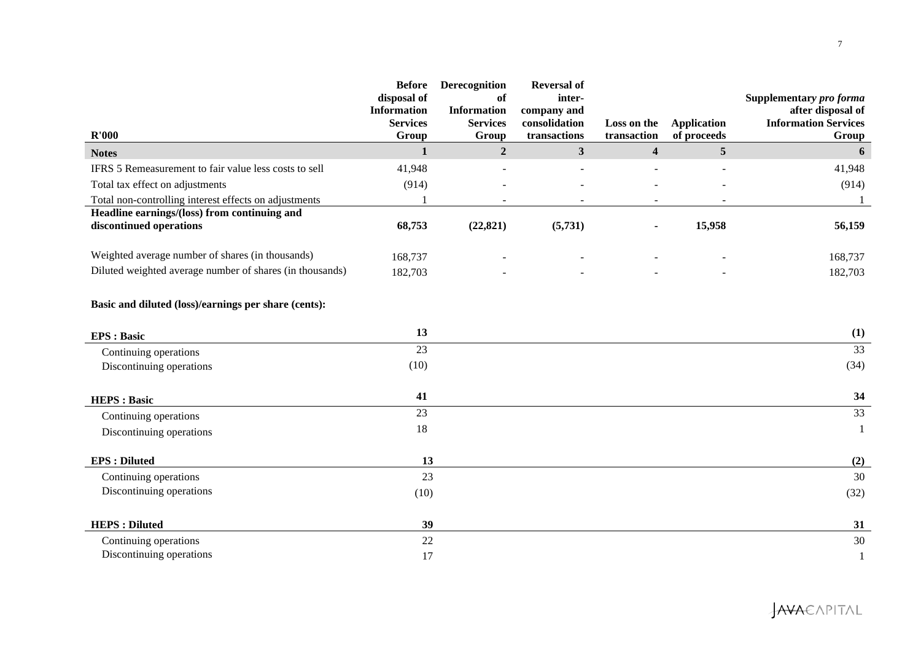| R'000                                                                   | <b>Before</b><br>disposal of<br><b>Information</b><br><b>Services</b><br>Group | Derecognition<br>of<br><b>Information</b><br><b>Services</b><br>Group | <b>Reversal of</b><br>inter-<br>company and<br>consolidation<br>transactions | Loss on the<br>transaction | <b>Application</b><br>of proceeds | Supplementary pro forma<br>after disposal of<br><b>Information Services</b><br>Group |
|-------------------------------------------------------------------------|--------------------------------------------------------------------------------|-----------------------------------------------------------------------|------------------------------------------------------------------------------|----------------------------|-----------------------------------|--------------------------------------------------------------------------------------|
| <b>Notes</b>                                                            | $\mathbf{1}$                                                                   | $\overline{2}$                                                        | $\mathbf{3}$                                                                 | $\overline{\mathbf{4}}$    | 5                                 | 6                                                                                    |
| IFRS 5 Remeasurement to fair value less costs to sell                   | 41,948                                                                         |                                                                       |                                                                              |                            |                                   | 41,948                                                                               |
| Total tax effect on adjustments                                         | (914)                                                                          |                                                                       |                                                                              |                            |                                   | (914)                                                                                |
| Total non-controlling interest effects on adjustments                   |                                                                                |                                                                       |                                                                              |                            |                                   |                                                                                      |
| Headline earnings/(loss) from continuing and<br>discontinued operations | 68,753                                                                         | (22, 821)                                                             | (5,731)                                                                      | $\blacksquare$             | 15,958                            | 56,159                                                                               |
| Weighted average number of shares (in thousands)                        | 168,737                                                                        |                                                                       |                                                                              |                            |                                   | 168,737                                                                              |
| Diluted weighted average number of shares (in thousands)                | 182,703                                                                        |                                                                       |                                                                              |                            |                                   | 182,703                                                                              |
| Basic and diluted (loss)/earnings per share (cents):                    |                                                                                |                                                                       |                                                                              |                            |                                   |                                                                                      |
| <b>EPS</b> : Basic                                                      | 13                                                                             |                                                                       |                                                                              |                            |                                   | (1)                                                                                  |
| Continuing operations                                                   | 23                                                                             |                                                                       |                                                                              |                            |                                   | $\overline{33}$                                                                      |
| Discontinuing operations                                                | (10)                                                                           |                                                                       |                                                                              |                            |                                   | (34)                                                                                 |
| <b>HEPS: Basic</b>                                                      | 41                                                                             |                                                                       |                                                                              |                            |                                   | 34                                                                                   |
| Continuing operations                                                   | 23                                                                             |                                                                       |                                                                              |                            |                                   | 33                                                                                   |
| Discontinuing operations                                                | 18                                                                             |                                                                       |                                                                              |                            |                                   | -1                                                                                   |
| <b>EPS</b> : Diluted                                                    | 13                                                                             |                                                                       |                                                                              |                            |                                   | (2)                                                                                  |
| Continuing operations                                                   | 23                                                                             |                                                                       |                                                                              |                            |                                   | 30                                                                                   |
| Discontinuing operations                                                | (10)                                                                           |                                                                       |                                                                              |                            |                                   | (32)                                                                                 |
| <b>HEPS: Diluted</b>                                                    | 39                                                                             |                                                                       |                                                                              |                            |                                   | 31                                                                                   |
| Continuing operations                                                   | 22                                                                             |                                                                       |                                                                              |                            |                                   | 30                                                                                   |
| Discontinuing operations                                                | 17                                                                             |                                                                       |                                                                              |                            |                                   |                                                                                      |

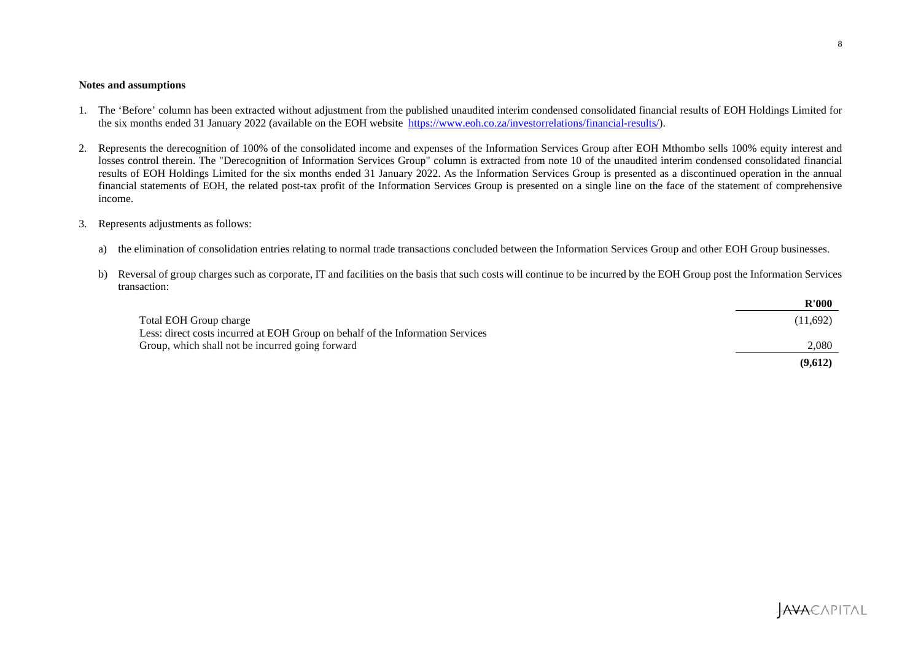#### **Notes and assumptions**

- 1. The 'Before' column has been extracted without adjustment from the published unaudited interim condensed consolidated financial results of EOH Holdings Limited for the six months ended 31 January 2022 (available on the EOH website https://www.eoh.co.za/investorrelations/financial-results/).
- 2. Represents the derecognition of 100% of the consolidated income and expenses of the Information Services Group after EOH Mthombo sells 100% equity interest and losses control therein. The "Derecognition of Information Services Group" column is extracted from note 10 of the unaudited interim condensed consolidated financial results of EOH Holdings Limited for the six months ended 31 January 2022. As the Information Services Group is presented as a discontinued operation in the annual financial statements of EOH, the related post-tax profit of the Information Services Group is presented on a single line on the face of the statement of comprehensive income.

### 3. Represents adjustments as follows:

- a) the elimination of consolidation entries relating to normal trade transactions concluded between the Information Services Group and other EOH Group businesses.
- b) Reversal of group charges such as corporate, IT and facilities on the basis that such costs will continue to be incurred by the EOH Group post the Information Services transaction:

|                                                                                | R'000    |
|--------------------------------------------------------------------------------|----------|
| Total EOH Group charge                                                         | (11,692) |
| Less: direct costs incurred at EOH Group on behalf of the Information Services |          |
| Group, which shall not be incurred going forward                               | 2.080    |
|                                                                                | (9,612)  |

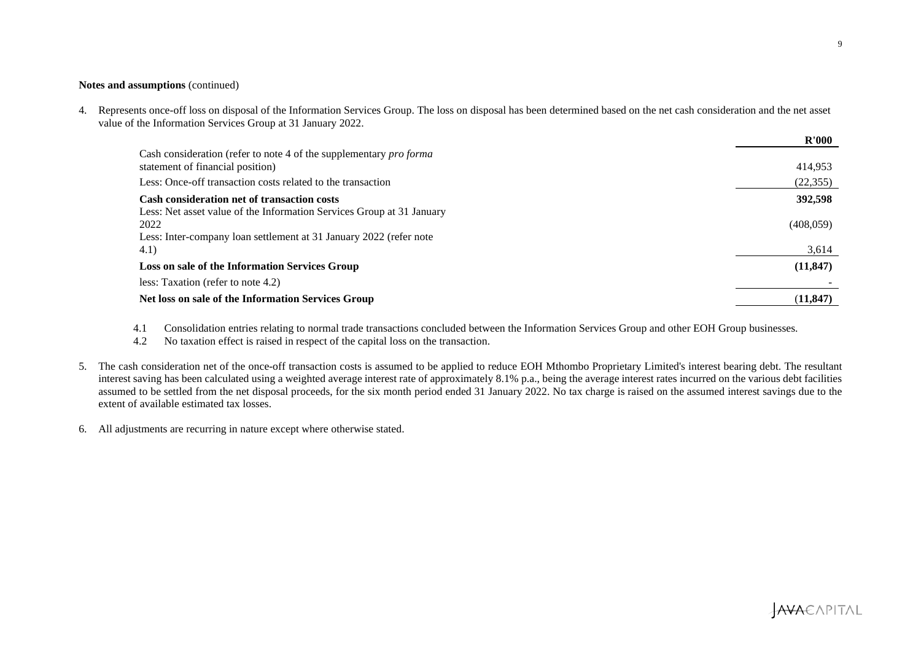### **Notes and assumptions** (continued)

4. Represents once-off loss on disposal of the Information Services Group. The loss on disposal has been determined based on the net cash consideration and the net asset value of the Information Services Group at 31 January 2022.

|                                                                                                                                                     | R'000      |
|-----------------------------------------------------------------------------------------------------------------------------------------------------|------------|
| Cash consideration (refer to note 4 of the supplementary <i>pro forma</i><br>statement of financial position)                                       | 414,953    |
| Less: Once-off transaction costs related to the transaction                                                                                         | (22, 355)  |
| <b>Cash consideration net of transaction costs</b>                                                                                                  | 392,598    |
| Less: Net asset value of the Information Services Group at 31 January<br>2022<br>Less: Inter-company loan settlement at 31 January 2022 (refer note | (408, 059) |
| 4.1)                                                                                                                                                | 3,614      |
| Loss on sale of the Information Services Group                                                                                                      | (11, 847)  |
| less: Taxation (refer to note 4.2)                                                                                                                  |            |
| Net loss on sale of the Information Services Group                                                                                                  | (11, 847)  |

4.1 Consolidation entries relating to normal trade transactions concluded between the Information Services Group and other EOH Group businesses.

4.2 No taxation effect is raised in respect of the capital loss on the transaction.

- 5. The cash consideration net of the once-off transaction costs is assumed to be applied to reduce EOH Mthombo Proprietary Limited's interest bearing debt. The resultant interest saving has been calculated using a weighted average interest rate of approximately 8.1% p.a., being the average interest rates incurred on the various debt facilities assumed to be settled from the net disposal proceeds, for the six month period ended 31 January 2022. No tax charge is raised on the assumed interest savings due to the extent of available estimated tax losses.
- 6. All adjustments are recurring in nature except where otherwise stated.

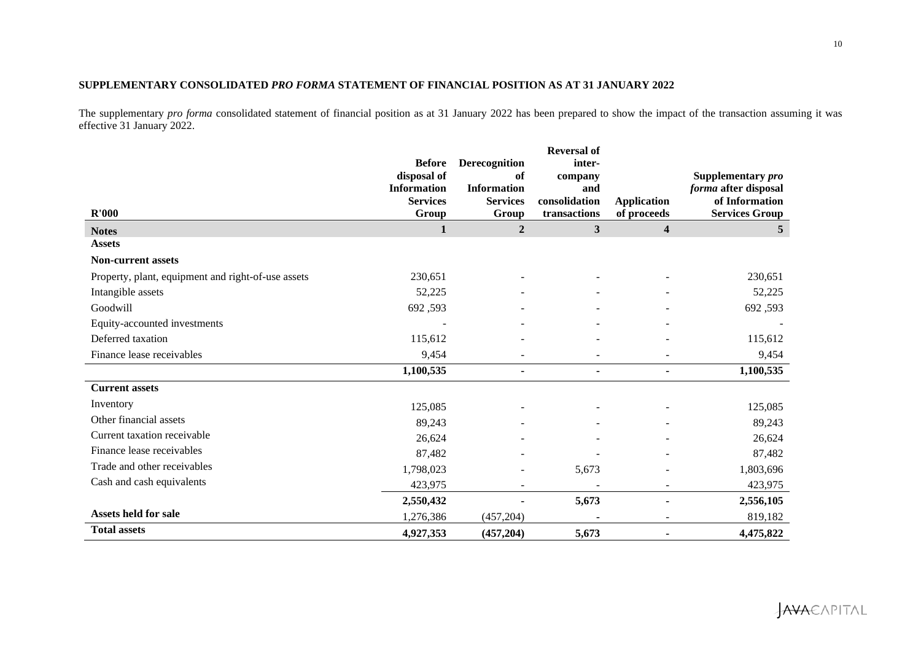## **SUPPLEMENTARY CONSOLIDATED** *PRO FORMA* **STATEMENT OF FINANCIAL POSITION AS AT 31 JANUARY 2022**

The supplementary *pro forma* consolidated statement of financial position as at 31 January 2022 has been prepared to show the impact of the transaction assuming it was effective 31 January 2022.

| R'000                                              | <b>Before</b><br>disposal of<br><b>Information</b><br><b>Services</b><br>Group | Derecognition<br>of<br><b>Information</b><br><b>Services</b><br>Group | <b>Reversal of</b><br>inter-<br>company<br>and<br>consolidation<br>transactions | <b>Application</b><br>of proceeds | Supplementary pro<br>forma after disposal<br>of Information<br><b>Services Group</b> |
|----------------------------------------------------|--------------------------------------------------------------------------------|-----------------------------------------------------------------------|---------------------------------------------------------------------------------|-----------------------------------|--------------------------------------------------------------------------------------|
| <b>Notes</b>                                       | 1                                                                              | $\overline{2}$                                                        | $\mathbf{3}$                                                                    | $\overline{\mathbf{4}}$           | 5 <sup>5</sup>                                                                       |
| <b>Assets</b>                                      |                                                                                |                                                                       |                                                                                 |                                   |                                                                                      |
| <b>Non-current assets</b>                          |                                                                                |                                                                       |                                                                                 |                                   |                                                                                      |
| Property, plant, equipment and right-of-use assets | 230,651                                                                        |                                                                       |                                                                                 |                                   | 230,651                                                                              |
| Intangible assets                                  | 52,225                                                                         |                                                                       |                                                                                 |                                   | 52,225                                                                               |
| Goodwill                                           | 692,593                                                                        |                                                                       |                                                                                 |                                   | 692,593                                                                              |
| Equity-accounted investments                       |                                                                                |                                                                       |                                                                                 |                                   |                                                                                      |
| Deferred taxation                                  | 115,612                                                                        |                                                                       |                                                                                 |                                   | 115,612                                                                              |
| Finance lease receivables                          | 9,454                                                                          |                                                                       |                                                                                 |                                   | 9,454                                                                                |
|                                                    | 1,100,535                                                                      | ۰                                                                     | $\blacksquare$                                                                  | $\blacksquare$                    | 1,100,535                                                                            |
| <b>Current assets</b>                              |                                                                                |                                                                       |                                                                                 |                                   |                                                                                      |
| Inventory                                          | 125,085                                                                        |                                                                       |                                                                                 |                                   | 125,085                                                                              |
| Other financial assets                             | 89,243                                                                         |                                                                       |                                                                                 |                                   | 89,243                                                                               |
| Current taxation receivable                        | 26,624                                                                         |                                                                       |                                                                                 |                                   | 26,624                                                                               |
| Finance lease receivables                          | 87,482                                                                         |                                                                       |                                                                                 |                                   | 87,482                                                                               |
| Trade and other receivables                        | 1,798,023                                                                      |                                                                       | 5,673                                                                           |                                   | 1,803,696                                                                            |
| Cash and cash equivalents                          | 423,975                                                                        |                                                                       |                                                                                 |                                   | 423,975                                                                              |
|                                                    | 2,550,432                                                                      |                                                                       | 5,673                                                                           |                                   | 2,556,105                                                                            |
| <b>Assets held for sale</b>                        | 1,276,386                                                                      | (457, 204)                                                            |                                                                                 |                                   | 819,182                                                                              |
| <b>Total assets</b>                                | 4,927,353                                                                      | (457, 204)                                                            | 5,673                                                                           |                                   | 4,475,822                                                                            |

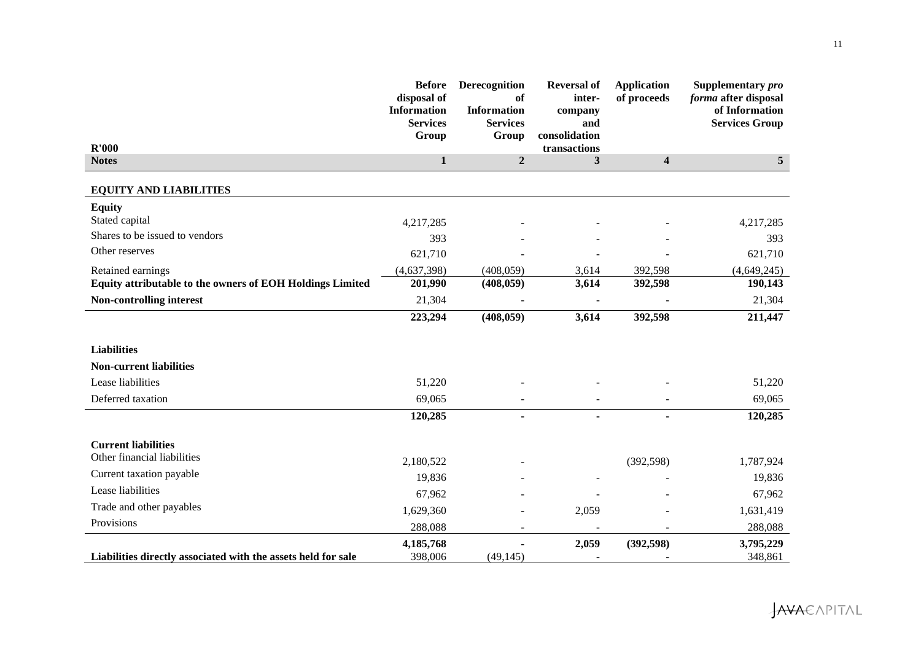| R'000                                                         | <b>Before</b><br>disposal of<br><b>Information</b><br><b>Services</b><br>Group | Derecognition<br>of<br><b>Information</b><br><b>Services</b><br>Group | <b>Reversal of</b><br>inter-<br>company<br>and<br>consolidation<br>transactions | <b>Application</b><br>of proceeds | Supplementary pro<br>forma after disposal<br>of Information<br><b>Services Group</b> |
|---------------------------------------------------------------|--------------------------------------------------------------------------------|-----------------------------------------------------------------------|---------------------------------------------------------------------------------|-----------------------------------|--------------------------------------------------------------------------------------|
| <b>Notes</b>                                                  | $\mathbf{1}$                                                                   | $\boldsymbol{2}$                                                      | $\mathbf{3}$                                                                    | $\overline{\mathbf{4}}$           | $\overline{5}$                                                                       |
|                                                               |                                                                                |                                                                       |                                                                                 |                                   |                                                                                      |
| <b>EQUITY AND LIABILITIES</b>                                 |                                                                                |                                                                       |                                                                                 |                                   |                                                                                      |
| <b>Equity</b>                                                 |                                                                                |                                                                       |                                                                                 |                                   |                                                                                      |
| Stated capital                                                | 4,217,285                                                                      |                                                                       |                                                                                 |                                   | 4,217,285                                                                            |
| Shares to be issued to vendors                                | 393                                                                            |                                                                       |                                                                                 |                                   | 393                                                                                  |
| Other reserves                                                | 621,710                                                                        |                                                                       |                                                                                 |                                   | 621,710                                                                              |
| Retained earnings                                             | (4,637,398)                                                                    | (408, 059)                                                            | 3,614                                                                           | 392,598                           | (4,649,245)                                                                          |
| Equity attributable to the owners of EOH Holdings Limited     | 201,990                                                                        | (408, 059)                                                            | 3,614                                                                           | 392,598                           | 190,143                                                                              |
| Non-controlling interest                                      | 21,304                                                                         |                                                                       |                                                                                 |                                   | 21,304                                                                               |
|                                                               | 223,294                                                                        | (408, 059)                                                            | 3,614                                                                           | 392,598                           | 211,447                                                                              |
|                                                               |                                                                                |                                                                       |                                                                                 |                                   |                                                                                      |
| <b>Liabilities</b>                                            |                                                                                |                                                                       |                                                                                 |                                   |                                                                                      |
| <b>Non-current liabilities</b>                                |                                                                                |                                                                       |                                                                                 |                                   |                                                                                      |
| Lease liabilities                                             | 51,220                                                                         |                                                                       |                                                                                 |                                   | 51,220                                                                               |
| Deferred taxation                                             | 69,065                                                                         |                                                                       |                                                                                 |                                   | 69,065                                                                               |
|                                                               | 120,285                                                                        | $\blacksquare$                                                        | $\blacksquare$                                                                  | $\blacksquare$                    | 120,285                                                                              |
|                                                               |                                                                                |                                                                       |                                                                                 |                                   |                                                                                      |
| <b>Current liabilities</b>                                    |                                                                                |                                                                       |                                                                                 |                                   |                                                                                      |
| Other financial liabilities                                   | 2,180,522                                                                      |                                                                       |                                                                                 | (392, 598)                        | 1,787,924                                                                            |
| Current taxation payable                                      | 19,836                                                                         |                                                                       |                                                                                 |                                   | 19,836                                                                               |
| Lease liabilities                                             | 67,962                                                                         |                                                                       |                                                                                 |                                   | 67,962                                                                               |
| Trade and other payables                                      | 1,629,360                                                                      |                                                                       | 2,059                                                                           |                                   | 1,631,419                                                                            |
| Provisions                                                    | 288,088                                                                        | $\overline{\phantom{a}}$                                              | $\sim$                                                                          | $\overline{\phantom{a}}$          | 288,088                                                                              |
|                                                               | 4,185,768                                                                      |                                                                       | 2,059                                                                           | (392, 598)                        | 3,795,229                                                                            |
| Liabilities directly associated with the assets held for sale | 398,006                                                                        | (49, 145)                                                             |                                                                                 |                                   | 348,861                                                                              |

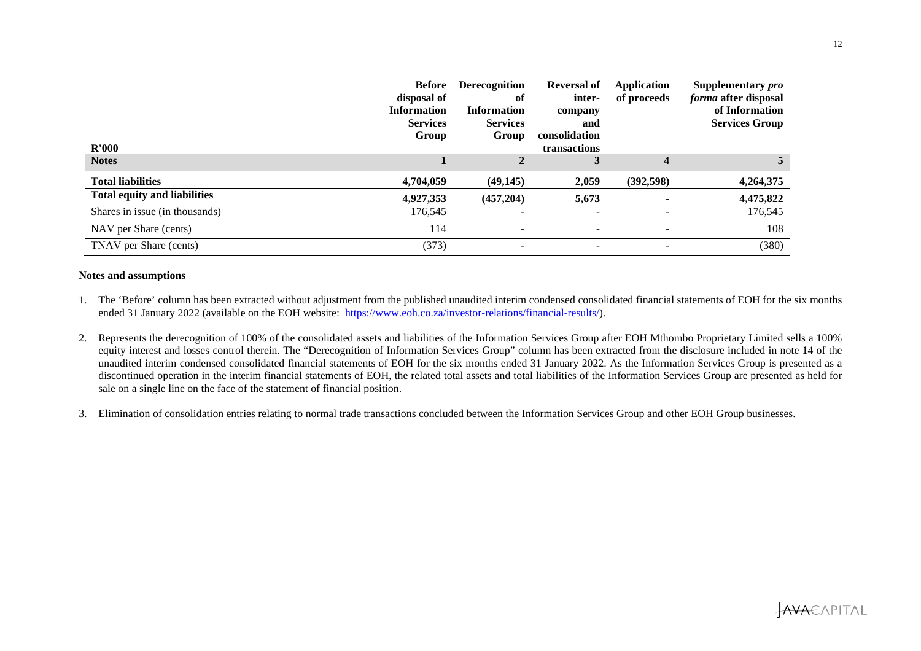|                                     | <b>Before</b><br>disposal of<br><b>Information</b><br><b>Services</b><br>Group | <b>Derecognition</b><br>of<br><b>Information</b><br><b>Services</b><br>Group | <b>Reversal of</b><br>inter-<br>company<br>and<br>consolidation | <b>Application</b><br>of proceeds | Supplementary pro<br><i>forma</i> after disposal<br>of Information<br><b>Services Group</b> |
|-------------------------------------|--------------------------------------------------------------------------------|------------------------------------------------------------------------------|-----------------------------------------------------------------|-----------------------------------|---------------------------------------------------------------------------------------------|
| R'000<br><b>Notes</b>               |                                                                                |                                                                              | transactions                                                    | 4                                 |                                                                                             |
|                                     |                                                                                |                                                                              |                                                                 |                                   |                                                                                             |
| <b>Total liabilities</b>            | 4,704,059                                                                      | (49, 145)                                                                    | 2,059                                                           | (392, 598)                        | 4,264,375                                                                                   |
| <b>Total equity and liabilities</b> | 4,927,353                                                                      | (457, 204)                                                                   | 5,673                                                           |                                   | 4,475,822                                                                                   |
| Shares in issue (in thousands)      | 176,545                                                                        |                                                                              | $\overline{\phantom{a}}$                                        |                                   | 176,545                                                                                     |
| NAV per Share (cents)               | 114                                                                            | $\overline{\phantom{a}}$                                                     | $\overline{\phantom{a}}$                                        |                                   | 108                                                                                         |
| TNAV per Share (cents)              | (373)                                                                          |                                                                              |                                                                 |                                   | (380)                                                                                       |

## **Notes and assumptions**

- 1. The 'Before' column has been extracted without adjustment from the published unaudited interim condensed consolidated financial statements of EOH for the six months ended 31 January 2022 (available on the EOH website: https://www.eoh.co.za/investor-relations/financial-results/).
- 2. Represents the derecognition of 100% of the consolidated assets and liabilities of the Information Services Group after EOH Mthombo Proprietary Limited sells a 100% equity interest and losses control therein. The "Derecognition of Information Services Group" column has been extracted from the disclosure included in note 14 of the unaudited interim condensed consolidated financial statements of EOH for the six months ended 31 January 2022. As the Information Services Group is presented as a discontinued operation in the interim financial statements of EOH, the related total assets and total liabilities of the Information Services Group are presented as held for sale on a single line on the face of the statement of financial position.
- 3. Elimination of consolidation entries relating to normal trade transactions concluded between the Information Services Group and other EOH Group businesses.

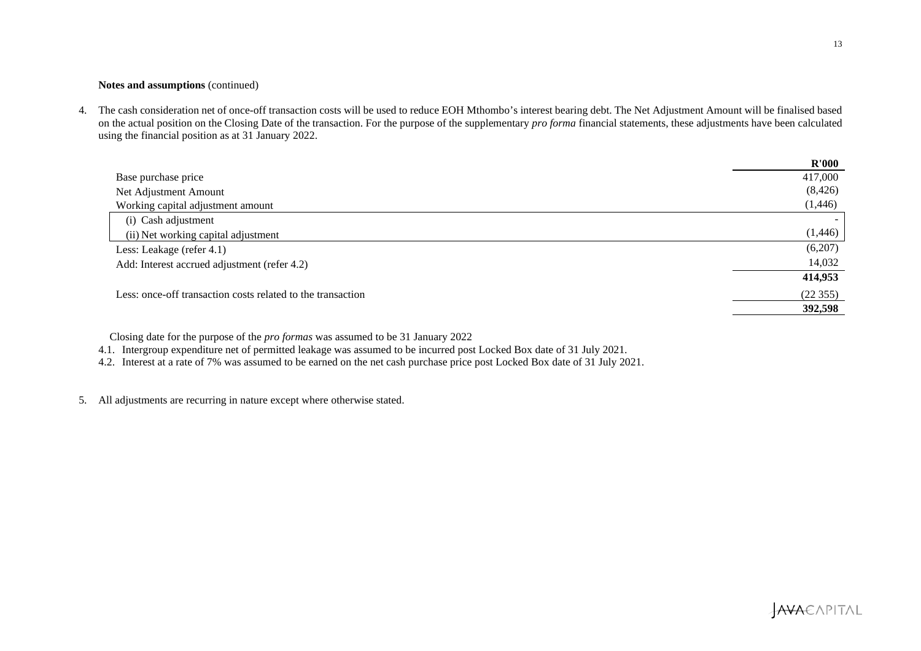## **Notes and assumptions** (continued)

4. The cash consideration net of once-off transaction costs will be used to reduce EOH Mthombo's interest bearing debt. The Net Adjustment Amount will be finalised based on the actual position on the Closing Date of the transaction. For the purpose of the supplementary *pro forma* financial statements, these adjustments have been calculated using the financial position as at 31 January 2022.

|                                                             | R'000    |
|-------------------------------------------------------------|----------|
| Base purchase price                                         | 417,000  |
| Net Adjustment Amount                                       | (8, 426) |
| Working capital adjustment amount                           | (1, 446) |
| (i) Cash adjustment                                         |          |
| (ii) Net working capital adjustment                         | (1,446)  |
| Less: Leakage (refer 4.1)                                   | (6,207)  |
| Add: Interest accrued adjustment (refer 4.2)                | 14,032   |
|                                                             | 414,953  |
| Less: once-off transaction costs related to the transaction | (22355)  |
|                                                             | 392,598  |

Closing date for the purpose of the *pro formas* was assumed to be 31 January 2022

4.1. Intergroup expenditure net of permitted leakage was assumed to be incurred post Locked Box date of 31 July 2021.

4.2. Interest at a rate of 7% was assumed to be earned on the net cash purchase price post Locked Box date of 31 July 2021.

5. All adjustments are recurring in nature except where otherwise stated.

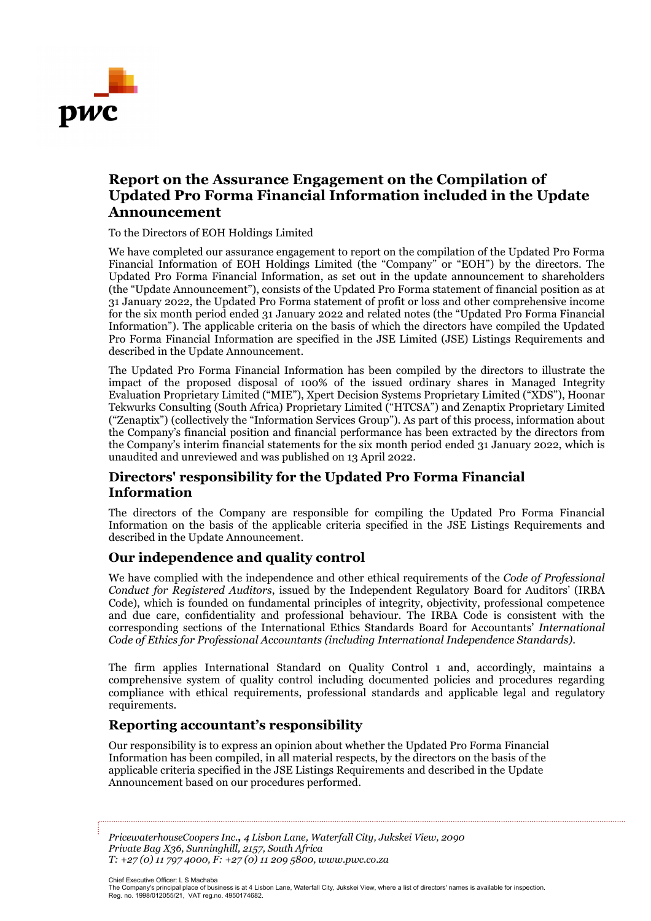

# **Report on the Assurance Engagement on the Compilation of Updated Pro Forma Financial Information included in the Update Announcement**

To the Directors of EOH Holdings Limited

We have completed our assurance engagement to report on the compilation of the Updated Pro Forma Financial Information of EOH Holdings Limited (the "Company" or "EOH") by the directors. The Updated Pro Forma Financial Information, as set out in the update announcement to shareholders (the "Update Announcement"), consists of the Updated Pro Forma statement of financial position as at 31 January 2022, the Updated Pro Forma statement of profit or loss and other comprehensive income for the six month period ended 31 January 2022 and related notes (the "Updated Pro Forma Financial Information"). The applicable criteria on the basis of which the directors have compiled the Updated Pro Forma Financial Information are specified in the JSE Limited (JSE) Listings Requirements and described in the Update Announcement.

The Updated Pro Forma Financial Information has been compiled by the directors to illustrate the impact of the proposed disposal of 100% of the issued ordinary shares in Managed Integrity Evaluation Proprietary Limited ("MIE"), Xpert Decision Systems Proprietary Limited ("XDS"), Hoonar Tekwurks Consulting (South Africa) Proprietary Limited ("HTCSA") and Zenaptix Proprietary Limited ("Zenaptix") (collectively the "Information Services Group"). As part of this process, information about the Company's financial position and financial performance has been extracted by the directors from the Company's interim financial statements for the six month period ended 31 January 2022, which is unaudited and unreviewed and was published on 13 April 2022.

# **Directors' responsibility for the Updated Pro Forma Financial Information**

The directors of the Company are responsible for compiling the Updated Pro Forma Financial Information on the basis of the applicable criteria specified in the JSE Listings Requirements and described in the Update Announcement.

## **Our independence and quality control**

We have complied with the independence and other ethical requirements of the *Code of Professional Conduct for Registered Auditors*, issued by the Independent Regulatory Board for Auditors' (IRBA Code), which is founded on fundamental principles of integrity, objectivity, professional competence and due care, confidentiality and professional behaviour. The IRBA Code is consistent with the corresponding sections of the International Ethics Standards Board for Accountants' *International Code of Ethics for Professional Accountants (including International Independence Standards)*.

The firm applies International Standard on Quality Control 1 and, accordingly, maintains a comprehensive system of quality control including documented policies and procedures regarding compliance with ethical requirements, professional standards and applicable legal and regulatory requirements.

## **Reporting accountant's responsibility**

Our responsibility is to express an opinion about whether the Updated Pro Forma Financial Information has been compiled, in all material respects, by the directors on the basis of the applicable criteria specified in the JSE Listings Requirements and described in the Update Announcement based on our procedures performed.

*PricewaterhouseCoopers Inc., 4 Lisbon Lane, Waterfall City, Jukskei View, 2090 Private Bag X36, Sunninghill, 2157, South Africa T: +27 (0) 11 797 4000, F: +27 (0) 11 209 5800, www.pwc.co.za*